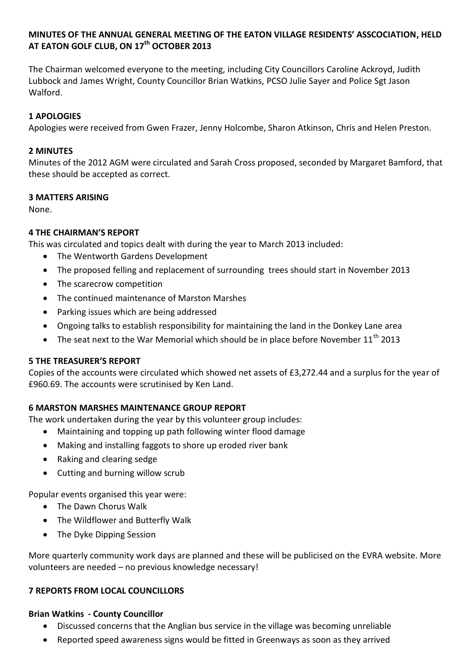# **MINUTES OF THE ANNUAL GENERAL MEETING OF THE EATON VILLAGE RESIDENTS' ASSCOCIATION, HELD AT EATON GOLF CLUB, ON 17th OCTOBER 2013**

The Chairman welcomed everyone to the meeting, including City Councillors Caroline Ackroyd, Judith Lubbock and James Wright, County Councillor Brian Watkins, PCSO Julie Sayer and Police Sgt Jason Walford.

# **1 APOLOGIES**

Apologies were received from Gwen Frazer, Jenny Holcombe, Sharon Atkinson, Chris and Helen Preston.

## **2 MINUTES**

Minutes of the 2012 AGM were circulated and Sarah Cross proposed, seconded by Margaret Bamford, that these should be accepted as correct.

### **3 MATTERS ARISING**

None.

### **4 THE CHAIRMAN'S REPORT**

This was circulated and topics dealt with during the year to March 2013 included:

- The Wentworth Gardens Development
- The proposed felling and replacement of surrounding trees should start in November 2013
- The scarecrow competition
- The continued maintenance of Marston Marshes
- Parking issues which are being addressed
- Ongoing talks to establish responsibility for maintaining the land in the Donkey Lane area
- The seat next to the War Memorial which should be in place before November  $11<sup>th</sup>$  2013

#### **5 THE TREASURER'S REPORT**

Copies of the accounts were circulated which showed net assets of £3,272.44 and a surplus for the year of £960.69. The accounts were scrutinised by Ken Land.

# **6 MARSTON MARSHES MAINTENANCE GROUP REPORT**

The work undertaken during the year by this volunteer group includes:

- Maintaining and topping up path following winter flood damage
- Making and installing faggots to shore up eroded river bank
- Raking and clearing sedge
- Cutting and burning willow scrub

Popular events organised this year were:

- The Dawn Chorus Walk
- The Wildflower and Butterfly Walk
- The Dyke Dipping Session

More quarterly community work days are planned and these will be publicised on the EVRA website. More volunteers are needed – no previous knowledge necessary!

#### **7 REPORTS FROM LOCAL COUNCILLORS**

#### **Brian Watkins - County Councillor**

- Discussed concerns that the Anglian bus service in the village was becoming unreliable
- Reported speed awareness signs would be fitted in Greenways as soon as they arrived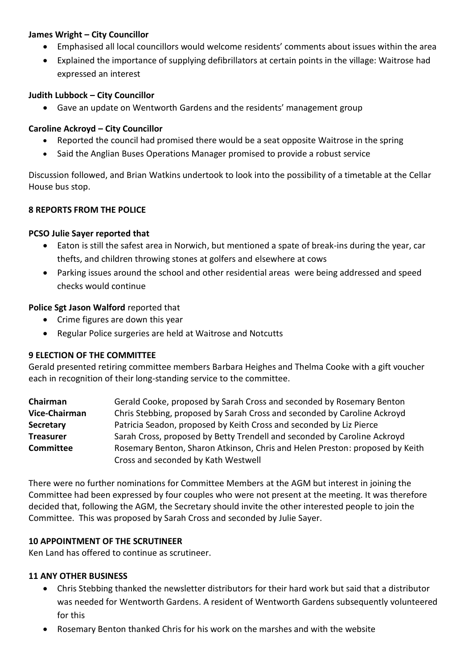# **James Wright – City Councillor**

- Emphasised all local councillors would welcome residents' comments about issues within the area
- Explained the importance of supplying defibrillators at certain points in the village: Waitrose had expressed an interest

### **Judith Lubbock – City Councillor**

Gave an update on Wentworth Gardens and the residents' management group

### **Caroline Ackroyd – City Councillor**

- Reported the council had promised there would be a seat opposite Waitrose in the spring
- Said the Anglian Buses Operations Manager promised to provide a robust service

Discussion followed, and Brian Watkins undertook to look into the possibility of a timetable at the Cellar House bus stop.

### **8 REPORTS FROM THE POLICE**

### **PCSO Julie Sayer reported that**

- Eaton is still the safest area in Norwich, but mentioned a spate of break-ins during the year, car thefts, and children throwing stones at golfers and elsewhere at cows
- Parking issues around the school and other residential areas were being addressed and speed checks would continue

### **Police Sgt Jason Walford** reported that

- Crime figures are down this year
- Regular Police surgeries are held at Waitrose and Notcutts

# **9 ELECTION OF THE COMMITTEE**

Gerald presented retiring committee members Barbara Heighes and Thelma Cooke with a gift voucher each in recognition of their long-standing service to the committee.

**Chairman** Gerald Cooke, proposed by Sarah Cross and seconded by Rosemary Benton **Vice-Chairman** Chris Stebbing, proposed by Sarah Cross and seconded by Caroline Ackroyd **Secretary** Patricia Seadon, proposed by Keith Cross and seconded by Liz Pierce **Treasurer** Sarah Cross, proposed by Betty Trendell and seconded by Caroline Ackroyd **Committee** Rosemary Benton, Sharon Atkinson, Chris and Helen Preston: proposed by Keith Cross and seconded by Kath Westwell

There were no further nominations for Committee Members at the AGM but interest in joining the Committee had been expressed by four couples who were not present at the meeting. It was therefore decided that, following the AGM, the Secretary should invite the other interested people to join the Committee. This was proposed by Sarah Cross and seconded by Julie Sayer.

#### **10 APPOINTMENT OF THE SCRUTINEER**

Ken Land has offered to continue as scrutineer.

#### **11 ANY OTHER BUSINESS**

- Chris Stebbing thanked the newsletter distributors for their hard work but said that a distributor was needed for Wentworth Gardens. A resident of Wentworth Gardens subsequently volunteered for this
- Rosemary Benton thanked Chris for his work on the marshes and with the website